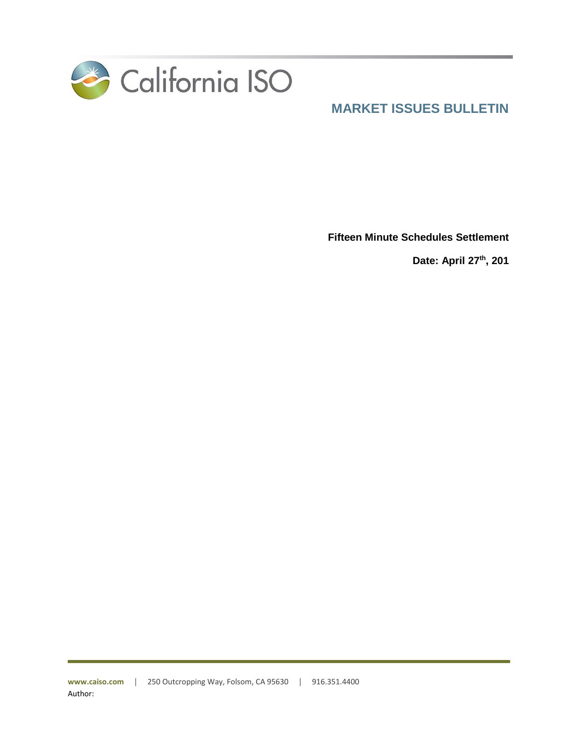

**Fifteen Minute Schedules Settlement**

**Date: April 27th, 201**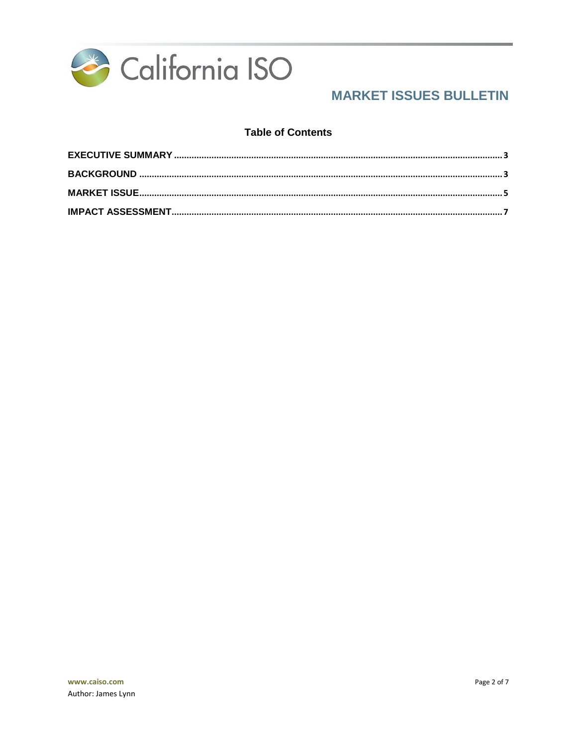

### **Table of Contents**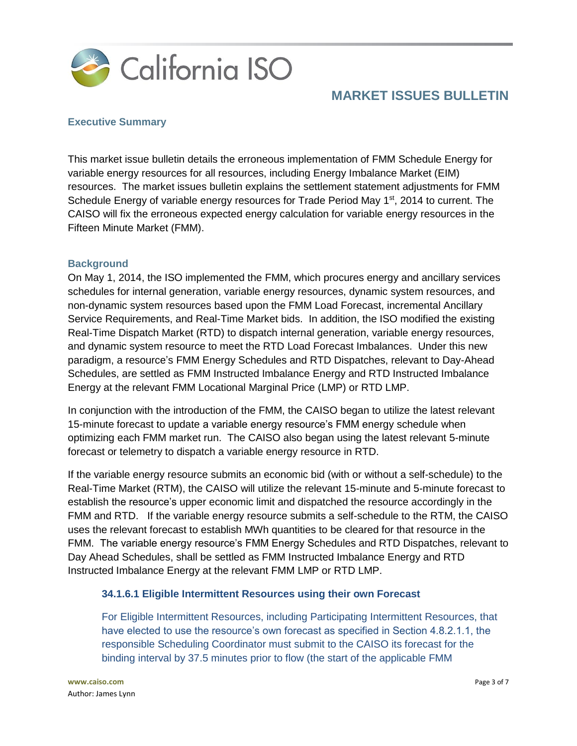

### <span id="page-2-0"></span>**Executive Summary**

This market issue bulletin details the erroneous implementation of FMM Schedule Energy for variable energy resources for all resources, including Energy Imbalance Market (EIM) resources. The market issues bulletin explains the settlement statement adjustments for FMM Schedule Energy of variable energy resources for Trade Period May  $1<sup>st</sup>$ , 2014 to current. The CAISO will fix the erroneous expected energy calculation for variable energy resources in the Fifteen Minute Market (FMM).

### <span id="page-2-1"></span>**Background**

On May 1, 2014, the ISO implemented the FMM, which procures energy and ancillary services schedules for internal generation, variable energy resources, dynamic system resources, and non-dynamic system resources based upon the FMM Load Forecast, incremental Ancillary Service Requirements, and Real-Time Market bids. In addition, the ISO modified the existing Real-Time Dispatch Market (RTD) to dispatch internal generation, variable energy resources, and dynamic system resource to meet the RTD Load Forecast Imbalances. Under this new paradigm, a resource's FMM Energy Schedules and RTD Dispatches, relevant to Day-Ahead Schedules, are settled as FMM Instructed Imbalance Energy and RTD Instructed Imbalance Energy at the relevant FMM Locational Marginal Price (LMP) or RTD LMP.

In conjunction with the introduction of the FMM, the CAISO began to utilize the latest relevant 15-minute forecast to update a variable energy resource's FMM energy schedule when optimizing each FMM market run. The CAISO also began using the latest relevant 5-minute forecast or telemetry to dispatch a variable energy resource in RTD.

If the variable energy resource submits an economic bid (with or without a self-schedule) to the Real-Time Market (RTM), the CAISO will utilize the relevant 15-minute and 5-minute forecast to establish the resource's upper economic limit and dispatched the resource accordingly in the FMM and RTD. If the variable energy resource submits a self-schedule to the RTM, the CAISO uses the relevant forecast to establish MWh quantities to be cleared for that resource in the FMM. The variable energy resource's FMM Energy Schedules and RTD Dispatches, relevant to Day Ahead Schedules, shall be settled as FMM Instructed Imbalance Energy and RTD Instructed Imbalance Energy at the relevant FMM LMP or RTD LMP.

#### **34.1.6.1 Eligible Intermittent Resources using their own Forecast**

For Eligible Intermittent Resources, including Participating Intermittent Resources, that have elected to use the resource's own forecast as specified in Section 4.8.2.1.1, the responsible Scheduling Coordinator must submit to the CAISO its forecast for the binding interval by 37.5 minutes prior to flow (the start of the applicable FMM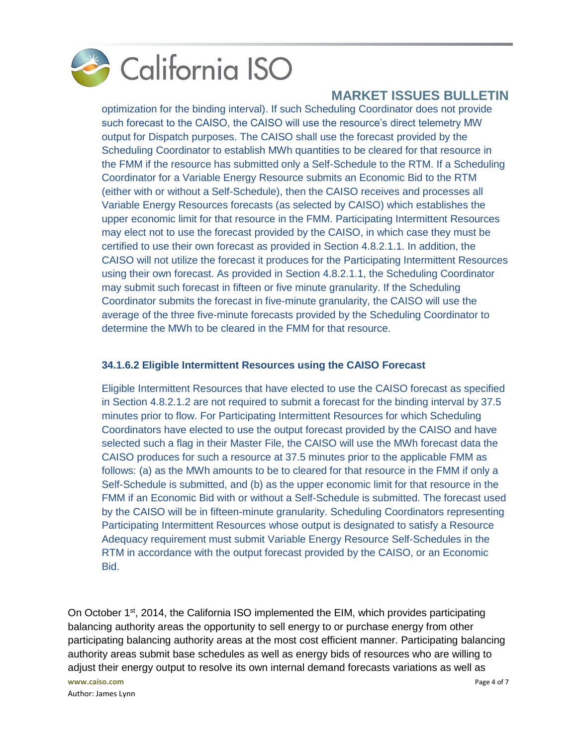

optimization for the binding interval). If such Scheduling Coordinator does not provide such forecast to the CAISO, the CAISO will use the resource's direct telemetry MW output for Dispatch purposes. The CAISO shall use the forecast provided by the Scheduling Coordinator to establish MWh quantities to be cleared for that resource in the FMM if the resource has submitted only a Self-Schedule to the RTM. If a Scheduling Coordinator for a Variable Energy Resource submits an Economic Bid to the RTM (either with or without a Self-Schedule), then the CAISO receives and processes all Variable Energy Resources forecasts (as selected by CAISO) which establishes the upper economic limit for that resource in the FMM. Participating Intermittent Resources may elect not to use the forecast provided by the CAISO, in which case they must be certified to use their own forecast as provided in Section 4.8.2.1.1. In addition, the CAISO will not utilize the forecast it produces for the Participating Intermittent Resources using their own forecast. As provided in Section 4.8.2.1.1, the Scheduling Coordinator may submit such forecast in fifteen or five minute granularity. If the Scheduling Coordinator submits the forecast in five-minute granularity, the CAISO will use the average of the three five-minute forecasts provided by the Scheduling Coordinator to determine the MWh to be cleared in the FMM for that resource.

### **34.1.6.2 Eligible Intermittent Resources using the CAISO Forecast**

Eligible Intermittent Resources that have elected to use the CAISO forecast as specified in Section 4.8.2.1.2 are not required to submit a forecast for the binding interval by 37.5 minutes prior to flow. For Participating Intermittent Resources for which Scheduling Coordinators have elected to use the output forecast provided by the CAISO and have selected such a flag in their Master File, the CAISO will use the MWh forecast data the CAISO produces for such a resource at 37.5 minutes prior to the applicable FMM as follows: (a) as the MWh amounts to be to cleared for that resource in the FMM if only a Self-Schedule is submitted, and (b) as the upper economic limit for that resource in the FMM if an Economic Bid with or without a Self-Schedule is submitted. The forecast used by the CAISO will be in fifteen-minute granularity. Scheduling Coordinators representing Participating Intermittent Resources whose output is designated to satisfy a Resource Adequacy requirement must submit Variable Energy Resource Self-Schedules in the RTM in accordance with the output forecast provided by the CAISO, or an Economic Bid.

**www.caiso.com** Page 4 of 7 On October  $1<sup>st</sup>$ , 2014, the California ISO implemented the EIM, which provides participating balancing authority areas the opportunity to sell energy to or purchase energy from other participating balancing authority areas at the most cost efficient manner. Participating balancing authority areas submit base schedules as well as energy bids of resources who are willing to adjust their energy output to resolve its own internal demand forecasts variations as well as

Author: James Lynn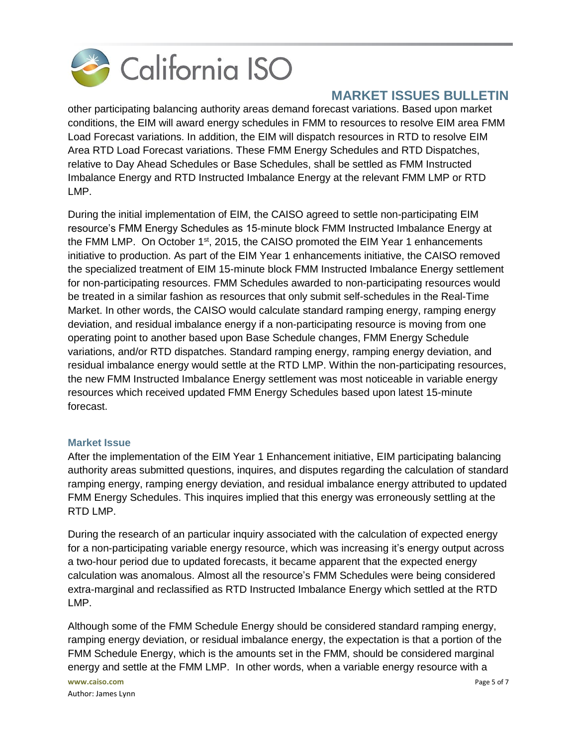

other participating balancing authority areas demand forecast variations. Based upon market conditions, the EIM will award energy schedules in FMM to resources to resolve EIM area FMM Load Forecast variations. In addition, the EIM will dispatch resources in RTD to resolve EIM Area RTD Load Forecast variations. These FMM Energy Schedules and RTD Dispatches, relative to Day Ahead Schedules or Base Schedules, shall be settled as FMM Instructed Imbalance Energy and RTD Instructed Imbalance Energy at the relevant FMM LMP or RTD LMP.

During the initial implementation of EIM, the CAISO agreed to settle non-participating EIM resource's FMM Energy Schedules as 15-minute block FMM Instructed Imbalance Energy at the FMM LMP. On October 1<sup>st</sup>, 2015, the CAISO promoted the EIM Year 1 enhancements initiative to production. As part of the EIM Year 1 enhancements initiative, the CAISO removed the specialized treatment of EIM 15-minute block FMM Instructed Imbalance Energy settlement for non-participating resources. FMM Schedules awarded to non-participating resources would be treated in a similar fashion as resources that only submit self-schedules in the Real-Time Market. In other words, the CAISO would calculate standard ramping energy, ramping energy deviation, and residual imbalance energy if a non-participating resource is moving from one operating point to another based upon Base Schedule changes, FMM Energy Schedule variations, and/or RTD dispatches. Standard ramping energy, ramping energy deviation, and residual imbalance energy would settle at the RTD LMP. Within the non-participating resources, the new FMM Instructed Imbalance Energy settlement was most noticeable in variable energy resources which received updated FMM Energy Schedules based upon latest 15-minute forecast.

### <span id="page-4-0"></span>**Market Issue**

After the implementation of the EIM Year 1 Enhancement initiative, EIM participating balancing authority areas submitted questions, inquires, and disputes regarding the calculation of standard ramping energy, ramping energy deviation, and residual imbalance energy attributed to updated FMM Energy Schedules. This inquires implied that this energy was erroneously settling at the RTD LMP.

During the research of an particular inquiry associated with the calculation of expected energy for a non-participating variable energy resource, which was increasing it's energy output across a two-hour period due to updated forecasts, it became apparent that the expected energy calculation was anomalous. Almost all the resource's FMM Schedules were being considered extra-marginal and reclassified as RTD Instructed Imbalance Energy which settled at the RTD LMP.

Although some of the FMM Schedule Energy should be considered standard ramping energy, ramping energy deviation, or residual imbalance energy, the expectation is that a portion of the FMM Schedule Energy, which is the amounts set in the FMM, should be considered marginal energy and settle at the FMM LMP. In other words, when a variable energy resource with a

**www.caiso.com** Page 5 of 7 Author: James Lynn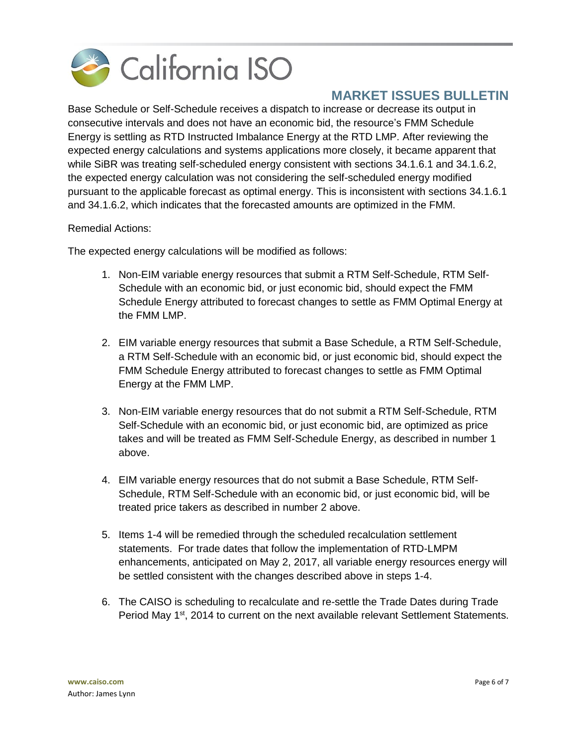

Base Schedule or Self-Schedule receives a dispatch to increase or decrease its output in consecutive intervals and does not have an economic bid, the resource's FMM Schedule Energy is settling as RTD Instructed Imbalance Energy at the RTD LMP. After reviewing the expected energy calculations and systems applications more closely, it became apparent that while SiBR was treating self-scheduled energy consistent with sections 34.1.6.1 and 34.1.6.2, the expected energy calculation was not considering the self-scheduled energy modified pursuant to the applicable forecast as optimal energy. This is inconsistent with sections 34.1.6.1 and 34.1.6.2, which indicates that the forecasted amounts are optimized in the FMM.

### Remedial Actions:

The expected energy calculations will be modified as follows:

- 1. Non-EIM variable energy resources that submit a RTM Self-Schedule, RTM Self-Schedule with an economic bid, or just economic bid, should expect the FMM Schedule Energy attributed to forecast changes to settle as FMM Optimal Energy at the FMM LMP.
- 2. EIM variable energy resources that submit a Base Schedule, a RTM Self-Schedule, a RTM Self-Schedule with an economic bid, or just economic bid, should expect the FMM Schedule Energy attributed to forecast changes to settle as FMM Optimal Energy at the FMM LMP.
- 3. Non-EIM variable energy resources that do not submit a RTM Self-Schedule, RTM Self-Schedule with an economic bid, or just economic bid, are optimized as price takes and will be treated as FMM Self-Schedule Energy, as described in number 1 above.
- 4. EIM variable energy resources that do not submit a Base Schedule, RTM Self-Schedule, RTM Self-Schedule with an economic bid, or just economic bid, will be treated price takers as described in number 2 above.
- 5. Items 1-4 will be remedied through the scheduled recalculation settlement statements. For trade dates that follow the implementation of RTD-LMPM enhancements, anticipated on May 2, 2017, all variable energy resources energy will be settled consistent with the changes described above in steps 1-4.
- 6. The CAISO is scheduling to recalculate and re-settle the Trade Dates during Trade Period May 1<sup>st</sup>, 2014 to current on the next available relevant Settlement Statements.